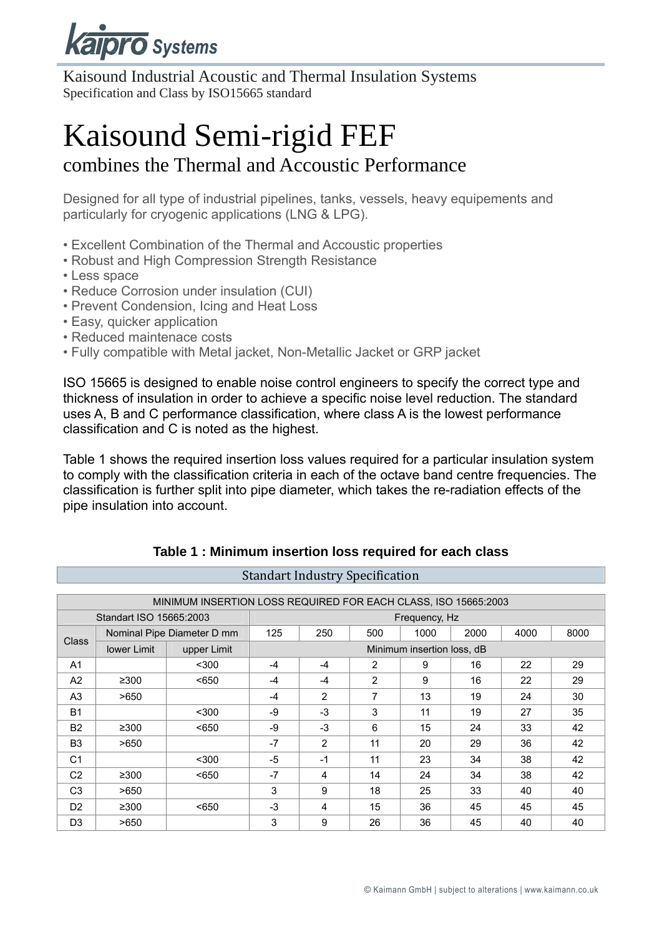

Kaisound Industrial Acoustic and Thermal Insulation Systems Specification and Class by ISO15665 standard

# Kaisound Semi-rigid FEF

### combines the Thermal and Accoustic Performance

Designed for all type of industrial pipelines, tanks, vessels, heavy equipements and particularly for cryogenic applications (LNG & LPG).

- Excellent Combination of the Thermal and Accoustic properties
- Robust and High Compression Strength Resistance
- Less space
- Reduce Corrosion under insulation (CUI)
- Prevent Condension, Icing and Heat Loss
- Easy, quicker application
- Reduced maintenace costs
- Fully compatible with Metal jacket, Non-Metallic Jacket or GRP jacket

ISO 15665 is designed to enable noise control engineers to specify the correct type and thickness of insulation in order to achieve a specific noise level reduction. The standard uses A, B and C performance classification, where class A is the lowest performance classification and C is noted as the highest.

Table 1 shows the required insertion loss values required for a particular insulation system to comply with the classification criteria in each of the octave band centre frequencies. The classification is further split into pipe diameter, which takes the re-radiation effects of the pipe insulation into account.

| MINIMUM INSERTION LOSS REQUIRED FOR EACH CLASS, ISO 15665:2003 |                         |             |                            |      |      |      |      |      |    |  |
|----------------------------------------------------------------|-------------------------|-------------|----------------------------|------|------|------|------|------|----|--|
|                                                                | Standart ISO 15665:2003 |             | Frequency, Hz              |      |      |      |      |      |    |  |
| Nominal Pipe Diameter D mm<br><b>Class</b>                     |                         | 125         | 250                        | 500  | 1000 | 2000 | 4000 | 8000 |    |  |
|                                                                | <b>lower Limit</b>      | upper Limit | Minimum insertion loss, dB |      |      |      |      |      |    |  |
| A <sub>1</sub>                                                 |                         | $300$       | $-4$                       | $-4$ | 2    | 9    | 16   | 22   | 29 |  |
| A <sub>2</sub>                                                 | ≥300                    | < 650       | -4                         | $-4$ | 2    | 9    | 16   | 22   | 29 |  |
| A <sub>3</sub>                                                 | >650                    |             | -4                         | 2    | 7    | 13   | 19   | 24   | 30 |  |
| <b>B1</b>                                                      |                         | $300$       | -9                         | $-3$ | 3    | 11   | 19   | 27   | 35 |  |
| <b>B2</b>                                                      | ≥300                    | < 650       | -9                         | $-3$ | 6    | 15   | 24   | 33   | 42 |  |
| B <sub>3</sub>                                                 | >650                    |             | $-7$                       | 2    | 11   | 20   | 29   | 36   | 42 |  |
| C <sub>1</sub>                                                 |                         | $300$       | $-5$                       | $-1$ | 11   | 23   | 34   | 38   | 42 |  |
| C <sub>2</sub>                                                 | ≥300                    | < 650       | $-7$                       | 4    | 14   | 24   | 34   | 38   | 42 |  |
| C <sub>3</sub>                                                 | >650                    |             | 3                          | 9    | 18   | 25   | 33   | 40   | 40 |  |
| D <sub>2</sub>                                                 | $\geq 300$              | < 650       | -3                         | 4    | 15   | 36   | 45   | 45   | 45 |  |
| D <sub>3</sub>                                                 | >650                    |             | 3                          | 9    | 26   | 36   | 45   | 40   | 40 |  |

#### **Table 1 : Minimum insertion loss required for each class**

**Standart Industry Specification**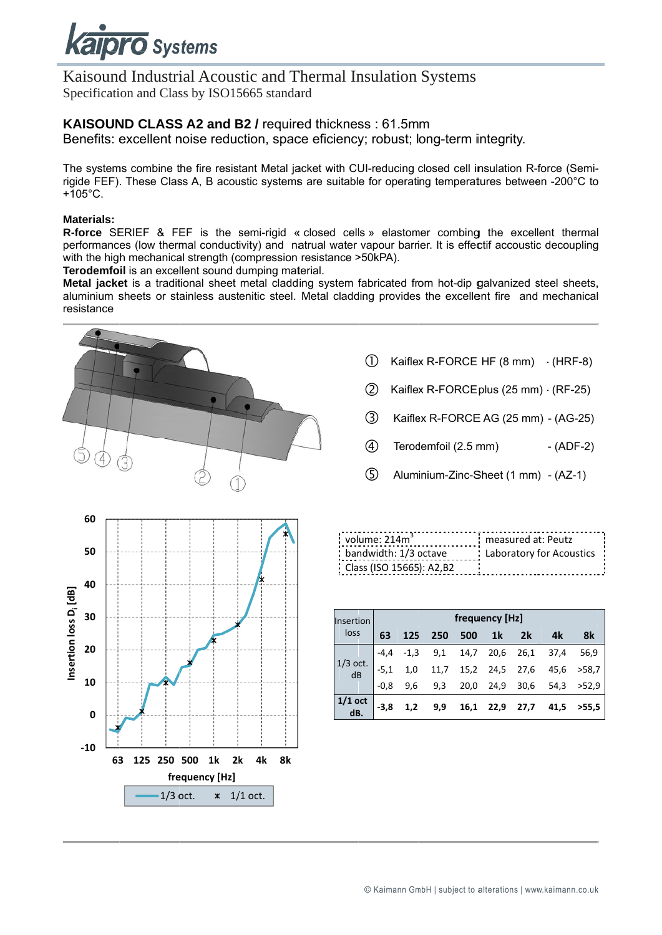

#### Kaisound Industrial Acoustic and Thermal Insulation Systems Specification and Class by ISO15665 standard

#### KAISOUND CLASS A2 and B2 / required thickness : 61.5mm

Benefits: excellent noise reduction, space eficiency; robust; long-term integrity.

The systems combine the fire resistant Metal jacket with CUI-reducing closed cell insulation R-force (Semirigide FEF). These Class A. B acoustic systems are suitable for operating temperatures between -200°C to  $+105^{\circ}$ C

#### Materials:

R-force SERIEF & FEF is the semi-rigid « closed cells » elastomer combing the excellent thermal performances (low thermal conductivity) and natrual water vapour barrier. It is effectif accoustic decoupling with the high mechanical strength (compression resistance >50kPA).

Terodemfoil is an excellent sound dumping material.

Metal jacket is a traditional sheet metal cladding system fabricated from hot-dip galvanized steel sheets, aluminium sheets or stainless austenitic steel. Metal cladding provides the excellent fire and mechanical resistance



- $\bigcap$ Kaiflex R-FORCE HF (8 mm)  $(HRF-8)$
- $(2)$ Kaiflex R-FORCE plus (25 mm) (RF-25)
- $(3)$ Kaiflex R-FORCE AG (25 mm) - (AG-25)
- $\circled{4}$ Terodemfoil (2.5 mm)  $-(ADF-2)$
- $\circ$ Aluminium-Zinc-Sheet (1 mm) - (AZ-1)



| volume: 214m <sup>3</sup> | : measured at: Peutz       |
|---------------------------|----------------------------|
| bandwidth: 1/3 octave     | : Laboratory for Acoustics |
| Class (ISO 15665): A2,B2  |                            |
|                           |                            |

| Insertion        | frequency [Hz] |        |      |      |                |      |      |       |
|------------------|----------------|--------|------|------|----------------|------|------|-------|
| loss             | 63             | 125    | 250  | 500  | 1 <sup>k</sup> | 2k   | 4k   | 8k    |
|                  | $-4,4$         | $-1,3$ | 9,1  | 14,7 | 20,6           | 26,1 | 37,4 | 56,9  |
| $1/3$ oct.<br>dB | $-5,1$         | 1,0    | 11,7 | 15,2 | 24,5           | 27,6 | 45,6 | >58.7 |
|                  | $-0,8$         | 9,6    | 9,3  | 20,0 | 24,9           | 30,6 | 54,3 | >52.9 |
| $1/1$ oct<br>dB. | $-3,8$         | 1,2    | 9,9  | 16,1 | 22,9           | 27,7 | 41,5 | >55.5 |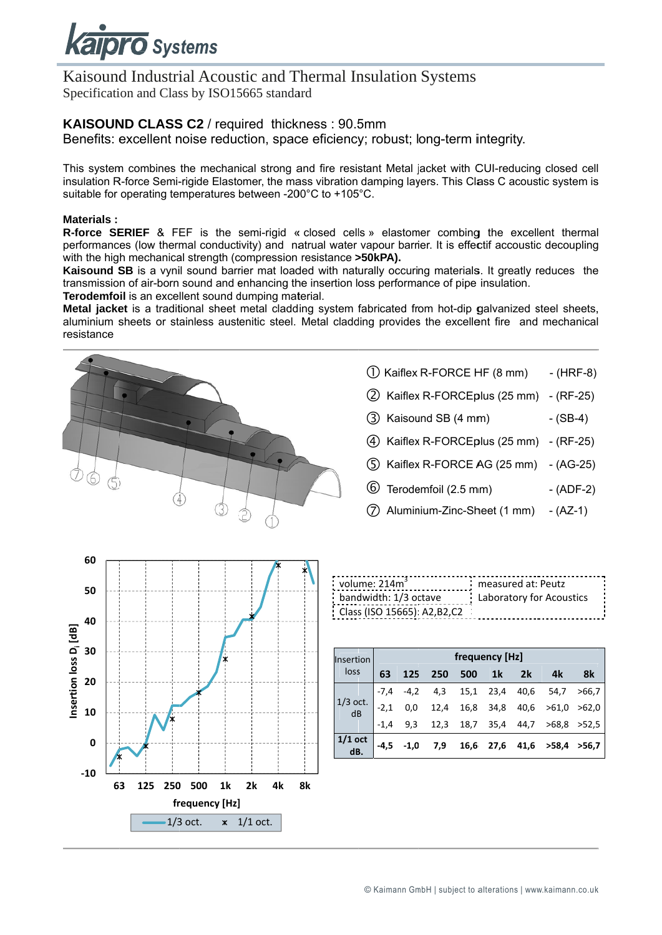

Kaisound Industrial Acoustic and Thermal Insulation Systems Specification and Class by ISO15665 standard

#### KAISOUND CLASS C2 / required thickness : 90.5mm

Benefits: excellent noise reduction, space eficiency; robust; long-term integrity.

This system combines the mechanical strong and fire resistant Metal jacket with CUI-reducing closed cell insulation R-force Semi-rigide Elastomer, the mass vibration damping layers. This Class C acoustic system is suitable for operating temperatures between -200°C to +105°C.

#### **Materials:**

R-force SERIEF & FEF is the semi-rigid « closed cells » elastomer combing the excellent thermal performances (low thermal conductivity) and natrual water vapour barrier. It is effectif accoustic decoupling with the high mechanical strength (compression resistance >50kPA).

Kaisound SB is a vynil sound barrier mat loaded with naturally occuring materials. It greatly reduces the transmission of air-born sound and enhancing the insertion loss performance of pipe insulation.

Terodemfoil is an excellent sound dumping material.

Metal jacket is a traditional sheet metal cladding system fabricated from hot-dip galvanized steel sheets. aluminium sheets or stainless austenitic steel. Metal cladding provides the excellent fire and mechanical resistance